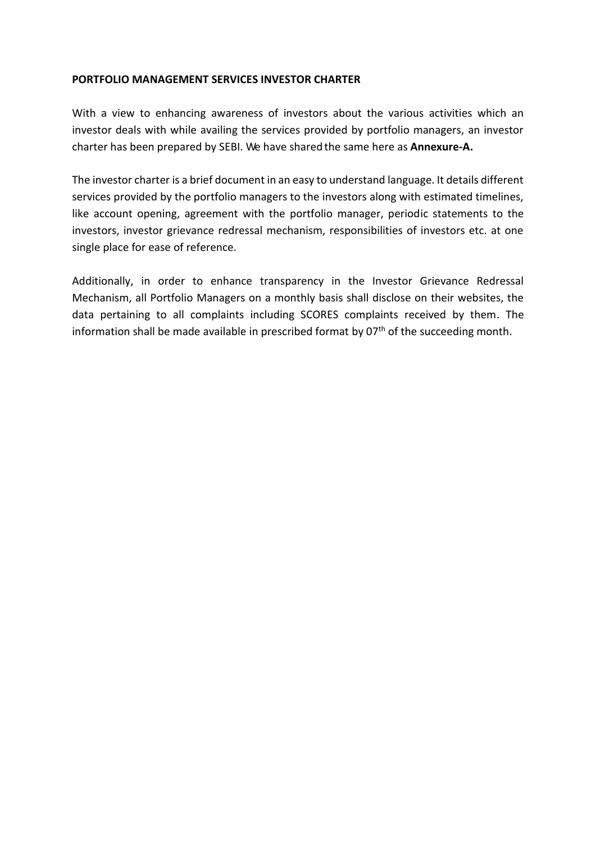#### **PORTFOLIO MANAGEMENT SERVICES INVESTOR CHARTER**

With a view to enhancing awareness of investors about the various activities which an investor deals with while availing the services provided by portfolio managers, an investor charter has been prepared by SEBI. We have shared the same here as **Annexure-A.**

The investor charter is a brief document in an easy to understand language. It details different services provided by the portfolio managers to the investors along with estimated timelines, like account opening, agreement with the portfolio manager, periodic statements to the investors, investor grievance redressal mechanism, responsibilities of investors etc. at one single place for ease of reference.

Additionally, in order to enhance transparency in the Investor Grievance Redressal Mechanism, all Portfolio Managers on a monthly basis shall disclose on their websites, the data pertaining to all complaints including SCORES complaints received by them. The information shall be made available in prescribed format by  $07<sup>th</sup>$  of the succeeding month.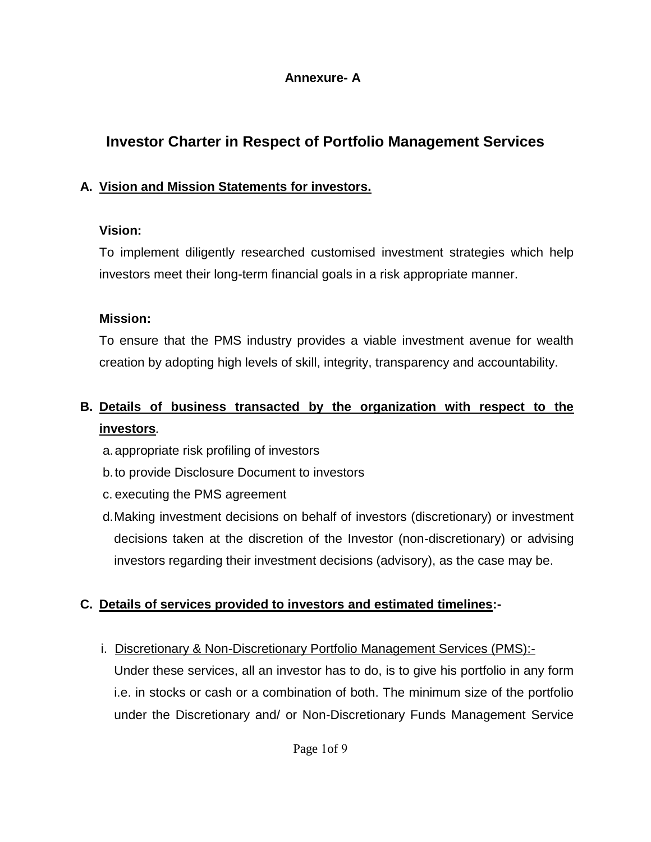#### **Annexure- A**

## **Investor Charter in Respect of Portfolio Management Services**

### **A. Vision and Mission Statements for investors.**

#### **Vision:**

To implement diligently researched customised investment strategies which help investors meet their long-term financial goals in a risk appropriate manner.

### **Mission:**

To ensure that the PMS industry provides a viable investment avenue for wealth creation by adopting high levels of skill, integrity, transparency and accountability.

# **B. Details of business transacted by the organization with respect to the investors***.*

- a.appropriate risk profiling of investors
- b.to provide Disclosure Document to investors
- c. executing the PMS agreement
- d.Making investment decisions on behalf of investors (discretionary) or investment decisions taken at the discretion of the Investor (non-discretionary) or advising investors regarding their investment decisions (advisory), as the case may be.

## **C. Details of services provided to investors and estimated timelines:-**

i. Discretionary & Non-Discretionary Portfolio Management Services (PMS):-

Under these services, all an investor has to do, is to give his portfolio in any form i.e. in stocks or cash or a combination of both. The minimum size of the portfolio under the Discretionary and/ or Non-Discretionary Funds Management Service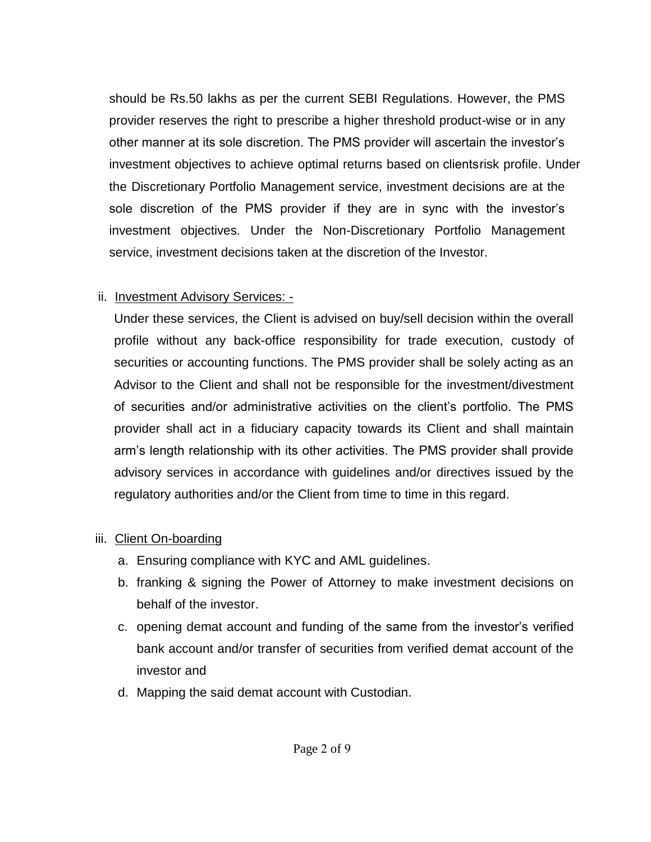should be Rs.50 lakhs as per the current SEBI Regulations. However, the PMS provider reserves the right to prescribe a higher threshold product-wise or in any other manner at its sole discretion. The PMS provider will ascertain the investor's investment objectives to achieve optimal returns based on clientsrisk profile. Under the Discretionary Portfolio Management service, investment decisions are at the sole discretion of the PMS provider if they are in sync with the investor's investment objectives. Under the Non-Discretionary Portfolio Management service, investment decisions taken at the discretion of the Investor.

#### ii. Investment Advisory Services: -

Under these services, the Client is advised on buy/sell decision within the overall profile without any back-office responsibility for trade execution, custody of securities or accounting functions. The PMS provider shall be solely acting as an Advisor to the Client and shall not be responsible for the investment/divestment of securities and/or administrative activities on the client's portfolio. The PMS provider shall act in a fiduciary capacity towards its Client and shall maintain arm's length relationship with its other activities. The PMS provider shall provide advisory services in accordance with guidelines and/or directives issued by the regulatory authorities and/or the Client from time to time in this regard.

#### iii. Client On-boarding

- a. Ensuring compliance with KYC and AML guidelines.
- b. franking & signing the Power of Attorney to make investment decisions on behalf of the investor.
- c. opening demat account and funding of the same from the investor's verified bank account and/or transfer of securities from verified demat account of the investor and
- d. Mapping the said demat account with Custodian.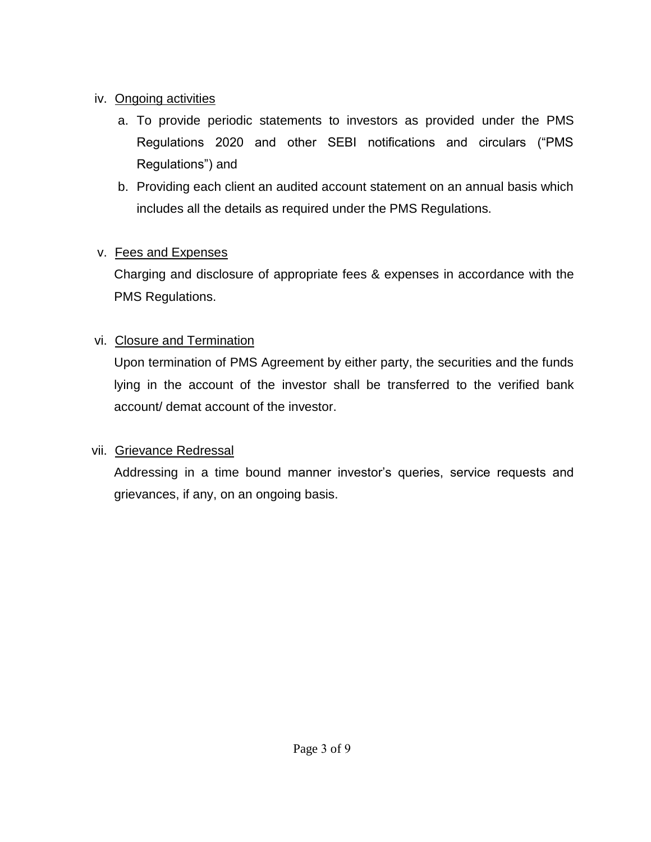#### iv. Ongoing activities

- a. To provide periodic statements to investors as provided under the PMS Regulations 2020 and other SEBI notifications and circulars ("PMS Regulations") and
- b. Providing each client an audited account statement on an annual basis which includes all the details as required under the PMS Regulations.

## v. Fees and Expenses

Charging and disclosure of appropriate fees & expenses in accordance with the PMS Regulations.

## vi. Closure and Termination

Upon termination of PMS Agreement by either party, the securities and the funds lying in the account of the investor shall be transferred to the verified bank account/ demat account of the investor.

## vii. Grievance Redressal

Addressing in a time bound manner investor's queries, service requests and grievances, if any, on an ongoing basis.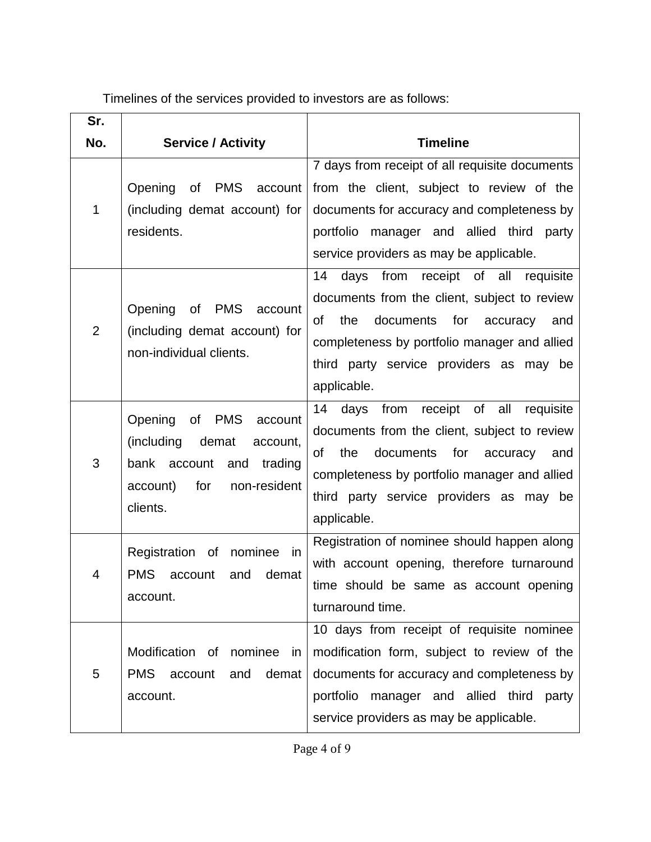Timelines of the services provided to investors are as follows:

| Sr.            |                                                                                                                                                             |                                                                                                                                                                                                                                                              |
|----------------|-------------------------------------------------------------------------------------------------------------------------------------------------------------|--------------------------------------------------------------------------------------------------------------------------------------------------------------------------------------------------------------------------------------------------------------|
| No.            | <b>Service / Activity</b>                                                                                                                                   | <b>Timeline</b>                                                                                                                                                                                                                                              |
| $\mathbf 1$    | Opening<br>of<br>PMS<br>account<br>(including demat account) for<br>residents.                                                                              | 7 days from receipt of all requisite documents<br>from the client, subject to review of the<br>documents for accuracy and completeness by<br>portfolio manager and allied third<br>party<br>service providers as may be applicable.                          |
| $\overline{2}$ | <b>PMS</b><br>Opening<br>οf<br>account<br>(including demat account) for<br>non-individual clients.                                                          | 14<br>days<br>from<br>receipt of all<br>requisite<br>documents from the client, subject to review<br>the<br>of<br>documents for<br>accuracy<br>and<br>completeness by portfolio manager and allied<br>third party service providers as may be<br>applicable. |
| 3              | <b>PMS</b><br>Opening<br>of<br>account<br>(including)<br>demat<br>account,<br>bank account<br>and<br>trading<br>non-resident<br>account)<br>for<br>clients. | 14 days from receipt of all<br>requisite<br>documents from the client, subject to review<br>the<br>of<br>documents for<br>accuracy<br>and<br>completeness by portfolio manager and allied<br>third party service providers as may be<br>applicable.          |
| 4              | Registration<br>of<br>nominee<br>in<br><b>PMS</b><br>demat<br>account<br>and<br>account.                                                                    | Registration of nominee should happen along<br>with account opening, therefore turnaround<br>time should be same as account opening<br>turnaround time.                                                                                                      |
| 5              | Modification of nominee<br>in<br><b>PMS</b><br>demat<br>account<br>and<br>account.                                                                          | 10 days from receipt of requisite nominee<br>modification form, subject to review of the<br>documents for accuracy and completeness by<br>portfolio manager and allied third<br>party<br>service providers as may be applicable.                             |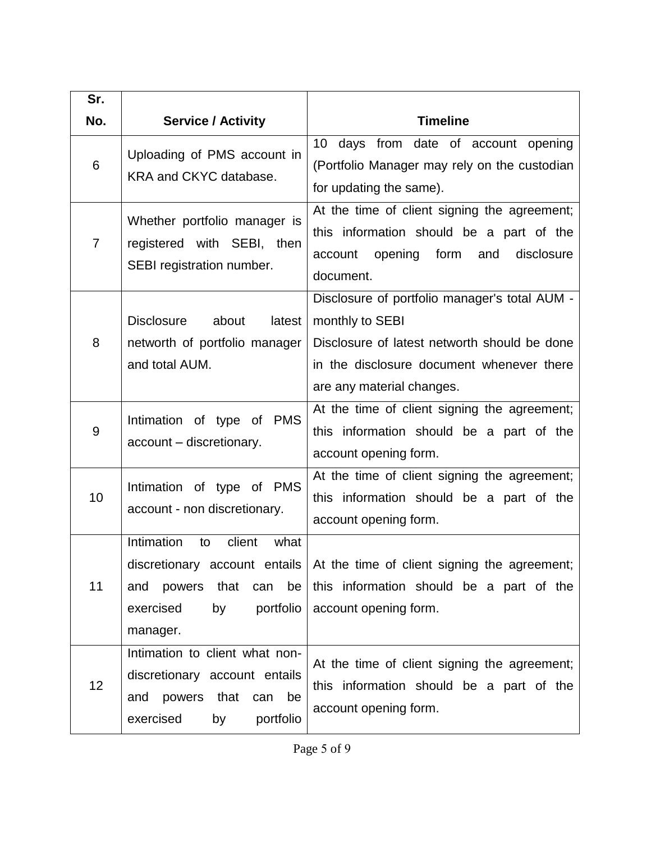| Sr.            |                                                                                                                                    |                                                                                                                                                                                            |
|----------------|------------------------------------------------------------------------------------------------------------------------------------|--------------------------------------------------------------------------------------------------------------------------------------------------------------------------------------------|
| No.            | <b>Service / Activity</b>                                                                                                          | <b>Timeline</b>                                                                                                                                                                            |
| 6              | Uploading of PMS account in<br>KRA and CKYC database.                                                                              | 10 days from date of account opening<br>(Portfolio Manager may rely on the custodian<br>for updating the same).                                                                            |
| $\overline{7}$ | Whether portfolio manager is<br>registered with SEBI, then<br>SEBI registration number.                                            | At the time of client signing the agreement;<br>this information should be a part of the<br>opening form<br>account<br>and<br>disclosure<br>document.                                      |
| 8              | Disclosure about<br>latest<br>networth of portfolio manager<br>and total AUM.                                                      | Disclosure of portfolio manager's total AUM -<br>monthly to SEBI<br>Disclosure of latest networth should be done<br>in the disclosure document whenever there<br>are any material changes. |
| 9              | Intimation of type of PMS<br>account - discretionary.                                                                              | At the time of client signing the agreement;<br>this information should be a part of the<br>account opening form.                                                                          |
| 10             | Intimation of type of PMS<br>account - non discretionary.                                                                          | At the time of client signing the agreement;<br>this information should be a part of the<br>account opening form.                                                                          |
| 11             | Intimation<br>client<br>what<br>to<br>powers that<br>be<br>and<br>can<br>exercised<br>by<br>portfolio<br>manager.                  | discretionary account entails $\vert$ At the time of client signing the agreement;<br>this information should be a part of the<br>account opening form.                                    |
| 12             | Intimation to client what non-<br>discretionary account entails<br>powers that<br>and<br>be<br>can<br>exercised<br>by<br>portfolio | At the time of client signing the agreement;<br>this information should be a part of the<br>account opening form.                                                                          |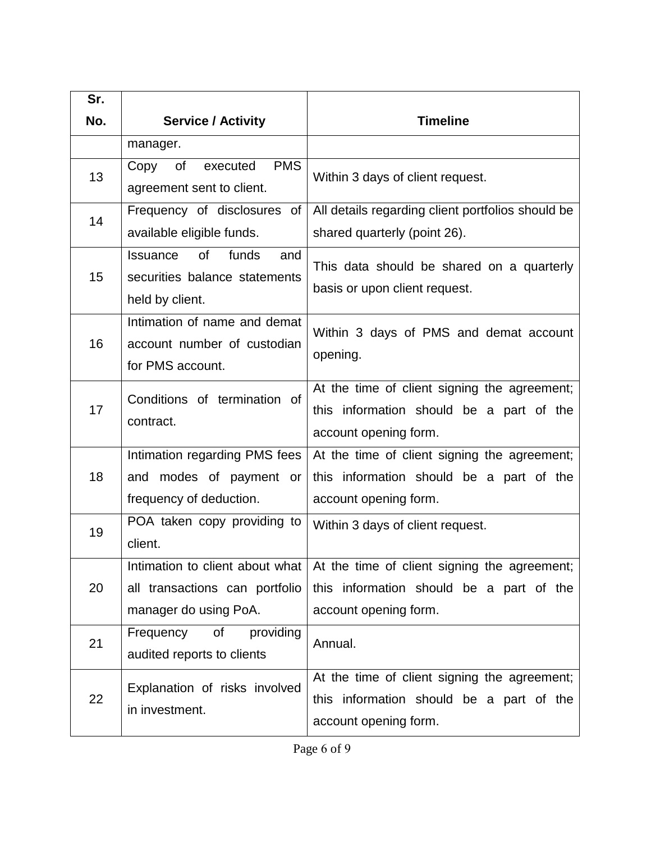| Sr. |                                                                                     |                                                                                                                                                     |
|-----|-------------------------------------------------------------------------------------|-----------------------------------------------------------------------------------------------------------------------------------------------------|
| No. | <b>Service / Activity</b>                                                           | <b>Timeline</b>                                                                                                                                     |
|     | manager.                                                                            |                                                                                                                                                     |
| 13  | <b>PMS</b><br>of<br>Copy<br>executed<br>agreement sent to client.                   | Within 3 days of client request.                                                                                                                    |
| 14  | Frequency of disclosures of<br>available eligible funds.                            | All details regarding client portfolios should be<br>shared quarterly (point 26).                                                                   |
| 15  | funds<br>of<br>Issuance<br>and<br>securities balance statements<br>held by client.  | This data should be shared on a quarterly<br>basis or upon client request.                                                                          |
| 16  | Intimation of name and demat<br>account number of custodian<br>for PMS account.     | Within 3 days of PMS and demat account<br>opening.                                                                                                  |
| 17  | Conditions of termination of<br>contract.                                           | At the time of client signing the agreement;<br>this information should be a part of the<br>account opening form.                                   |
| 18  | Intimation regarding PMS fees<br>and modes of payment or<br>frequency of deduction. | At the time of client signing the agreement;<br>this information should be a part of the<br>account opening form.                                   |
| 19  | POA taken copy providing to<br>client.                                              | Within 3 days of client request.                                                                                                                    |
| 20  | all transactions can portfolio<br>manager do using PoA.                             | Intimation to client about what   At the time of client signing the agreement;<br>this information should be a part of the<br>account opening form. |
| 21  | Frequency<br>providing<br>of<br>audited reports to clients                          | Annual.                                                                                                                                             |
| 22  | Explanation of risks involved<br>in investment.                                     | At the time of client signing the agreement;<br>this information should be a part of the<br>account opening form.                                   |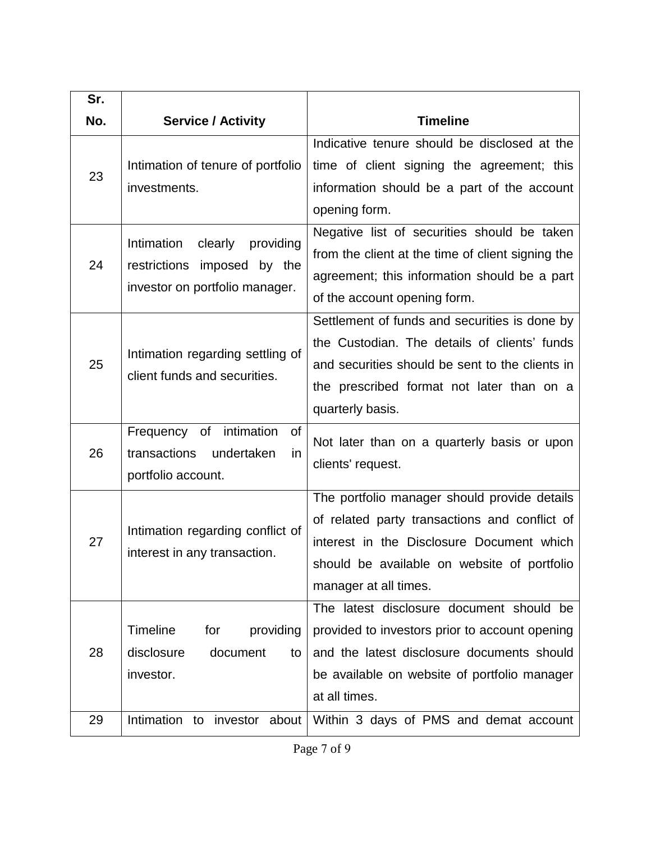| Sr. |                                                                                                        |                                                   |
|-----|--------------------------------------------------------------------------------------------------------|---------------------------------------------------|
| No. | <b>Service / Activity</b>                                                                              | <b>Timeline</b>                                   |
| 23  |                                                                                                        | Indicative tenure should be disclosed at the      |
|     | Intimation of tenure of portfolio                                                                      | time of client signing the agreement; this        |
|     | investments.                                                                                           | information should be a part of the account       |
|     |                                                                                                        | opening form.                                     |
|     | Intimation<br>clearly<br>providing<br>restrictions<br>imposed by the<br>investor on portfolio manager. | Negative list of securities should be taken       |
| 24  |                                                                                                        | from the client at the time of client signing the |
|     |                                                                                                        | agreement; this information should be a part      |
|     |                                                                                                        | of the account opening form.                      |
|     | Intimation regarding settling of<br>client funds and securities.                                       | Settlement of funds and securities is done by     |
|     |                                                                                                        | the Custodian. The details of clients' funds      |
| 25  |                                                                                                        | and securities should be sent to the clients in   |
|     |                                                                                                        | the prescribed format not later than on a         |
|     |                                                                                                        | quarterly basis.                                  |
|     | Frequency of intimation<br><b>of</b>                                                                   | Not later than on a quarterly basis or upon       |
| 26  | undertaken<br>transactions<br>in                                                                       | clients' request.                                 |
|     | portfolio account.                                                                                     |                                                   |
|     |                                                                                                        | The portfolio manager should provide details      |
|     | Intimation regarding conflict of<br>interest in any transaction.                                       | of related party transactions and conflict of     |
| 27  |                                                                                                        | interest in the Disclosure Document which         |
|     |                                                                                                        | should be available on website of portfolio       |
|     |                                                                                                        | manager at all times.                             |
| 28  |                                                                                                        | The latest disclosure document should be          |
|     | <b>Timeline</b><br>for<br>providing                                                                    | provided to investors prior to account opening    |
|     | disclosure<br>document<br>to                                                                           | and the latest disclosure documents should        |
|     | investor.                                                                                              | be available on website of portfolio manager      |
|     |                                                                                                        | at all times.                                     |
| 29  | Intimation to investor about                                                                           | Within 3 days of PMS and demat account            |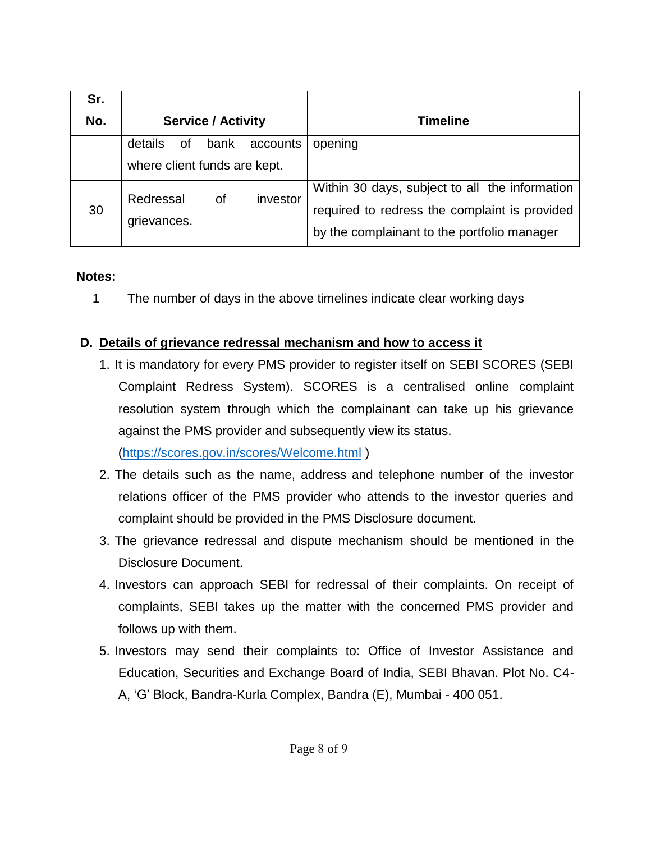| Sr. |                              |          |                                                |
|-----|------------------------------|----------|------------------------------------------------|
| No. | <b>Service / Activity</b>    |          | <b>Timeline</b>                                |
|     | details<br>bank<br>οf        | accounts | opening                                        |
|     | where client funds are kept. |          |                                                |
| 30  | Redressal<br>οf              | investor | Within 30 days, subject to all the information |
|     |                              |          | required to redress the complaint is provided  |
|     | grievances.                  |          | by the complainant to the portfolio manager    |

#### **Notes:**

1 The number of days in the above timelines indicate clear working days

## **D. Details of grievance redressal mechanism and how to access it**

1. It is mandatory for every PMS provider to register itself on SEBI SCORES (SEBI Complaint Redress System). SCORES is a centralised online complaint resolution system through which the complainant can take up his grievance against the PMS provider and subsequently view its status.

[\(https://scores.gov.in/scores/Welcome.html](https://scores.gov.in/scores/Welcome.html) )

- 2. The details such as the name, address and telephone number of the investor relations officer of the PMS provider who attends to the investor queries and complaint should be provided in the PMS Disclosure document.
- 3. The grievance redressal and dispute mechanism should be mentioned in the Disclosure Document.
- 4. Investors can approach SEBI for redressal of their complaints. On receipt of complaints, SEBI takes up the matter with the concerned PMS provider and follows up with them.
- 5. Investors may send their complaints to: Office of Investor Assistance and Education, Securities and Exchange Board of India, SEBI Bhavan. Plot No. C4- A, 'G' Block, Bandra-Kurla Complex, Bandra (E), Mumbai - 400 051.